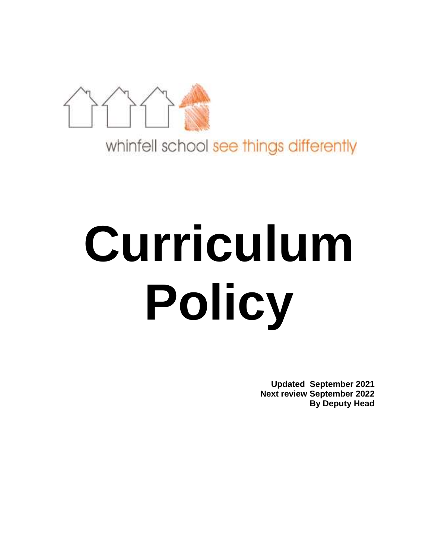

whinfell school see things differently

# **Curriculum Policy**

**Updated September 2021 Next review September 2022 By Deputy Head**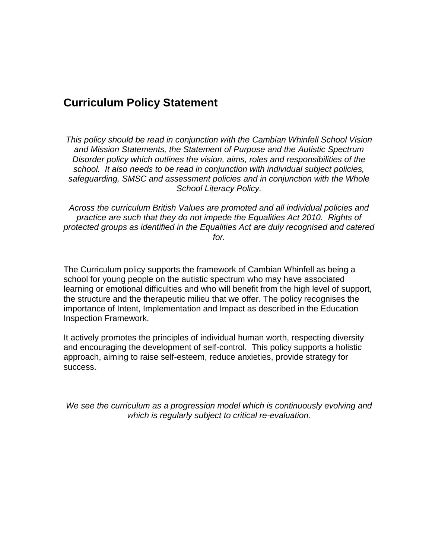# **Curriculum Policy Statement**

*This policy should be read in conjunction with the Cambian Whinfell School Vision and Mission Statements, the Statement of Purpose and the Autistic Spectrum Disorder policy which outlines the vision, aims, roles and responsibilities of the school. It also needs to be read in conjunction with individual subject policies, safeguarding, SMSC and assessment policies and in conjunction with the Whole School Literacy Policy.*

*Across the curriculum British Values are promoted and all individual policies and practice are such that they do not impede the Equalities Act 2010. Rights of protected groups as identified in the Equalities Act are duly recognised and catered for.*

The Curriculum policy supports the framework of Cambian Whinfell as being a school for young people on the autistic spectrum who may have associated learning or emotional difficulties and who will benefit from the high level of support, the structure and the therapeutic milieu that we offer. The policy recognises the importance of Intent, Implementation and Impact as described in the Education Inspection Framework.

It actively promotes the principles of individual human worth, respecting diversity and encouraging the development of self-control. This policy supports a holistic approach, aiming to raise self-esteem, reduce anxieties, provide strategy for success.

*We see the curriculum as a progression model which is continuously evolving and which is regularly subject to critical re-evaluation.*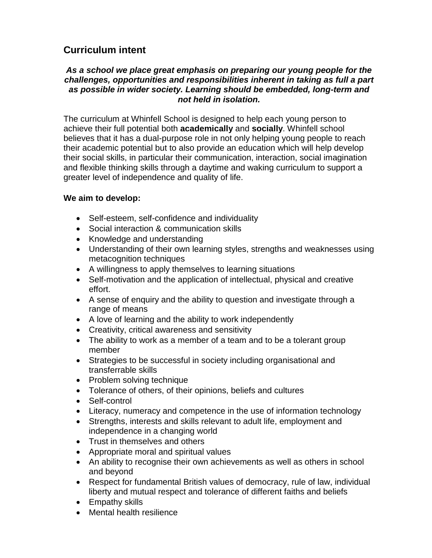## **Curriculum intent**

#### *As a school we place great emphasis on preparing our young people for the challenges, opportunities and responsibilities inherent in taking as full a part as possible in wider society. Learning should be embedded, long-term and not held in isolation.*

The curriculum at Whinfell School is designed to help each young person to achieve their full potential both **academically** and **socially**. Whinfell school believes that it has a dual-purpose role in not only helping young people to reach their academic potential but to also provide an education which will help develop their social skills, in particular their communication, interaction, social imagination and flexible thinking skills through a daytime and waking curriculum to support a greater level of independence and quality of life.

#### **We aim to develop:**

- Self-esteem, self-confidence and individuality
- Social interaction & communication skills
- Knowledge and understanding
- Understanding of their own learning styles, strengths and weaknesses using metacognition techniques
- A willingness to apply themselves to learning situations
- Self-motivation and the application of intellectual, physical and creative effort.
- A sense of enquiry and the ability to question and investigate through a range of means
- A love of learning and the ability to work independently
- Creativity, critical awareness and sensitivity
- The ability to work as a member of a team and to be a tolerant group member
- Strategies to be successful in society including organisational and transferrable skills
- Problem solving technique
- Tolerance of others, of their opinions, beliefs and cultures
- Self-control
- Literacy, numeracy and competence in the use of information technology
- Strengths, interests and skills relevant to adult life, employment and independence in a changing world
- Trust in themselves and others
- Appropriate moral and spiritual values
- An ability to recognise their own achievements as well as others in school and beyond
- Respect for fundamental British values of democracy, rule of law, individual liberty and mutual respect and tolerance of different faiths and beliefs
- Empathy skills
- Mental health resilience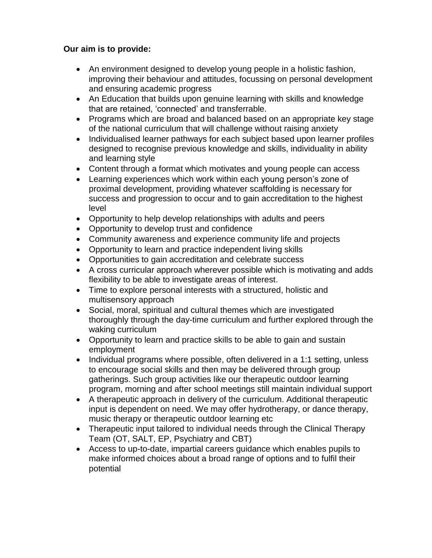### **Our aim is to provide:**

- An environment designed to develop young people in a holistic fashion, improving their behaviour and attitudes, focussing on personal development and ensuring academic progress
- An Education that builds upon genuine learning with skills and knowledge that are retained, 'connected' and transferrable.
- Programs which are broad and balanced based on an appropriate key stage of the national curriculum that will challenge without raising anxiety
- Individualised learner pathways for each subject based upon learner profiles designed to recognise previous knowledge and skills, individuality in ability and learning style
- Content through a format which motivates and young people can access
- Learning experiences which work within each young person's zone of proximal development, providing whatever scaffolding is necessary for success and progression to occur and to gain accreditation to the highest level
- Opportunity to help develop relationships with adults and peers
- Opportunity to develop trust and confidence
- Community awareness and experience community life and projects
- Opportunity to learn and practice independent living skills
- Opportunities to gain accreditation and celebrate success
- A cross curricular approach wherever possible which is motivating and adds flexibility to be able to investigate areas of interest.
- Time to explore personal interests with a structured, holistic and multisensory approach
- Social, moral, spiritual and cultural themes which are investigated thoroughly through the day-time curriculum and further explored through the waking curriculum
- Opportunity to learn and practice skills to be able to gain and sustain employment
- Individual programs where possible, often delivered in a 1:1 setting, unless to encourage social skills and then may be delivered through group gatherings. Such group activities like our therapeutic outdoor learning program, morning and after school meetings still maintain individual support
- A therapeutic approach in delivery of the curriculum. Additional therapeutic input is dependent on need. We may offer hydrotherapy, or dance therapy, music therapy or therapeutic outdoor learning etc
- Therapeutic input tailored to individual needs through the Clinical Therapy Team (OT, SALT, EP, Psychiatry and CBT)
- Access to up-to-date, impartial careers guidance which enables pupils to make informed choices about a broad range of options and to fulfil their potential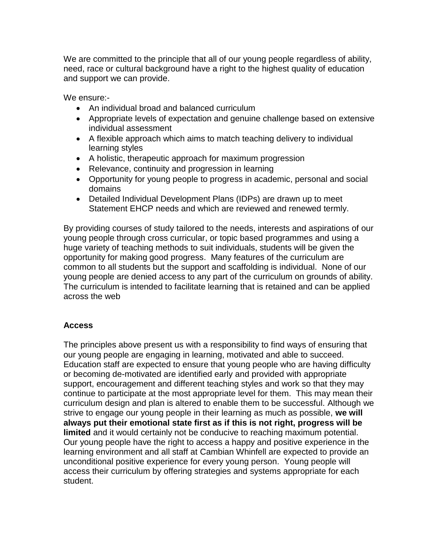We are committed to the principle that all of our young people regardless of ability. need, race or cultural background have a right to the highest quality of education and support we can provide.

We ensure:-

- An individual broad and balanced curriculum
- Appropriate levels of expectation and genuine challenge based on extensive individual assessment
- A flexible approach which aims to match teaching delivery to individual learning styles
- A holistic, therapeutic approach for maximum progression
- Relevance, continuity and progression in learning
- Opportunity for young people to progress in academic, personal and social domains
- Detailed Individual Development Plans (IDPs) are drawn up to meet Statement EHCP needs and which are reviewed and renewed termly.

By providing courses of study tailored to the needs, interests and aspirations of our young people through cross curricular, or topic based programmes and using a huge variety of teaching methods to suit individuals, students will be given the opportunity for making good progress. Many features of the curriculum are common to all students but the support and scaffolding is individual. None of our young people are denied access to any part of the curriculum on grounds of ability. The curriculum is intended to facilitate learning that is retained and can be applied across the web

#### **Access**

The principles above present us with a responsibility to find ways of ensuring that our young people are engaging in learning, motivated and able to succeed. Education staff are expected to ensure that young people who are having difficulty or becoming de-motivated are identified early and provided with appropriate support, encouragement and different teaching styles and work so that they may continue to participate at the most appropriate level for them. This may mean their curriculum design and plan is altered to enable them to be successful. Although we strive to engage our young people in their learning as much as possible, **we will always put their emotional state first as if this is not right, progress will be limited** and it would certainly not be conducive to reaching maximum potential. Our young people have the right to access a happy and positive experience in the learning environment and all staff at Cambian Whinfell are expected to provide an unconditional positive experience for every young person. Young people will access their curriculum by offering strategies and systems appropriate for each student.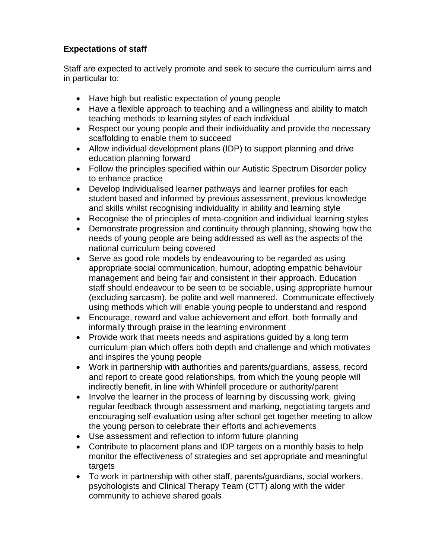## **Expectations of staff**

Staff are expected to actively promote and seek to secure the curriculum aims and in particular to:

- Have high but realistic expectation of young people
- Have a flexible approach to teaching and a willingness and ability to match teaching methods to learning styles of each individual
- Respect our young people and their individuality and provide the necessary scaffolding to enable them to succeed
- Allow individual development plans (IDP) to support planning and drive education planning forward
- Follow the principles specified within our Autistic Spectrum Disorder policy to enhance practice
- Develop Individualised learner pathways and learner profiles for each student based and informed by previous assessment, previous knowledge and skills whilst recognising individuality in ability and learning style
- Recognise the of principles of meta-cognition and individual learning styles
- Demonstrate progression and continuity through planning, showing how the needs of young people are being addressed as well as the aspects of the national curriculum being covered
- Serve as good role models by endeavouring to be regarded as using appropriate social communication, humour, adopting empathic behaviour management and being fair and consistent in their approach. Education staff should endeavour to be seen to be sociable, using appropriate humour (excluding sarcasm), be polite and well mannered. Communicate effectively using methods which will enable young people to understand and respond
- Encourage, reward and value achievement and effort, both formally and informally through praise in the learning environment
- Provide work that meets needs and aspirations quided by a long term curriculum plan which offers both depth and challenge and which motivates and inspires the young people
- Work in partnership with authorities and parents/guardians, assess, record and report to create good relationships, from which the young people will indirectly benefit, in line with Whinfell procedure or authority/parent
- Involve the learner in the process of learning by discussing work, giving regular feedback through assessment and marking, negotiating targets and encouraging self-evaluation using after school get together meeting to allow the young person to celebrate their efforts and achievements
- Use assessment and reflection to inform future planning
- Contribute to placement plans and IDP targets on a monthly basis to help monitor the effectiveness of strategies and set appropriate and meaningful targets
- To work in partnership with other staff, parents/guardians, social workers, psychologists and Clinical Therapy Team (CTT) along with the wider community to achieve shared goals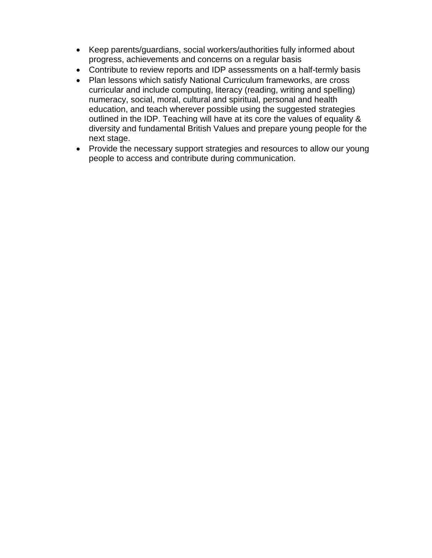- Keep parents/guardians, social workers/authorities fully informed about progress, achievements and concerns on a regular basis
- Contribute to review reports and IDP assessments on a half-termly basis
- Plan lessons which satisfy National Curriculum frameworks, are cross curricular and include computing, literacy (reading, writing and spelling) numeracy, social, moral, cultural and spiritual, personal and health education, and teach wherever possible using the suggested strategies outlined in the IDP. Teaching will have at its core the values of equality & diversity and fundamental British Values and prepare young people for the next stage.
- Provide the necessary support strategies and resources to allow our young people to access and contribute during communication.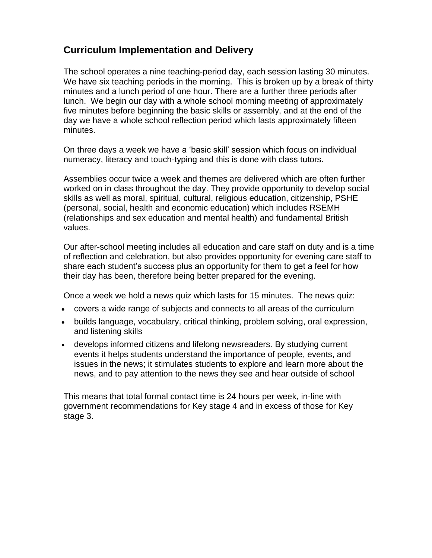## **Curriculum Implementation and Delivery**

The school operates a nine teaching-period day, each session lasting 30 minutes. We have six teaching periods in the morning. This is broken up by a break of thirty minutes and a lunch period of one hour. There are a further three periods after lunch. We begin our day with a whole school morning meeting of approximately five minutes before beginning the basic skills or assembly, and at the end of the day we have a whole school reflection period which lasts approximately fifteen minutes.

On three days a week we have a 'basic skill' session which focus on individual numeracy, literacy and touch-typing and this is done with class tutors.

Assemblies occur twice a week and themes are delivered which are often further worked on in class throughout the day. They provide opportunity to develop social skills as well as moral, spiritual, cultural, religious education, citizenship, PSHE (personal, social, health and economic education) which includes RSEMH (relationships and sex education and mental health) and fundamental British values.

Our after-school meeting includes all education and care staff on duty and is a time of reflection and celebration, but also provides opportunity for evening care staff to share each student's success plus an opportunity for them to get a feel for how their day has been, therefore being better prepared for the evening.

Once a week we hold a news quiz which lasts for 15 minutes. The news quiz:

- covers a wide range of subjects and connects to all areas of the curriculum
- builds language, vocabulary, critical thinking, problem solving, oral expression, and listening skills
- develops informed citizens and lifelong newsreaders. By studying current events it helps students understand the importance of people, events, and issues in the news; it stimulates students to explore and learn more about the news, and to pay attention to the news they see and hear outside of school

This means that total formal contact time is 24 hours per week, in-line with government recommendations for Key stage 4 and in excess of those for Key stage 3.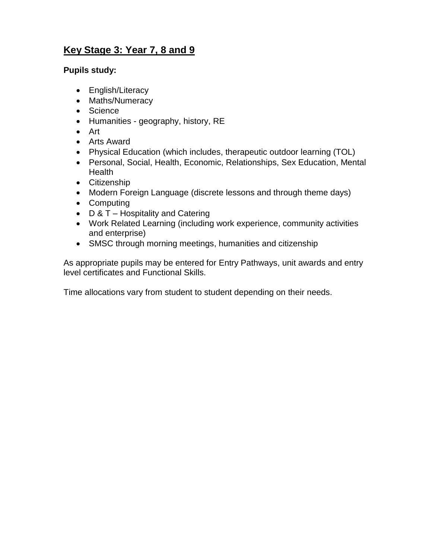# **Key Stage 3: Year 7, 8 and 9**

#### **Pupils study:**

- English/Literacy
- Maths/Numeracy
- Science
- Humanities geography, history, RE
- Art
- Arts Award
- Physical Education (which includes, therapeutic outdoor learning (TOL)
- Personal, Social, Health, Economic, Relationships, Sex Education, Mental **Health**
- Citizenship
- Modern Foreign Language (discrete lessons and through theme days)
- Computing
- $\bullet$  D & T Hospitality and Catering
- Work Related Learning (including work experience, community activities and enterprise)
- SMSC through morning meetings, humanities and citizenship

As appropriate pupils may be entered for Entry Pathways, unit awards and entry level certificates and Functional Skills.

Time allocations vary from student to student depending on their needs.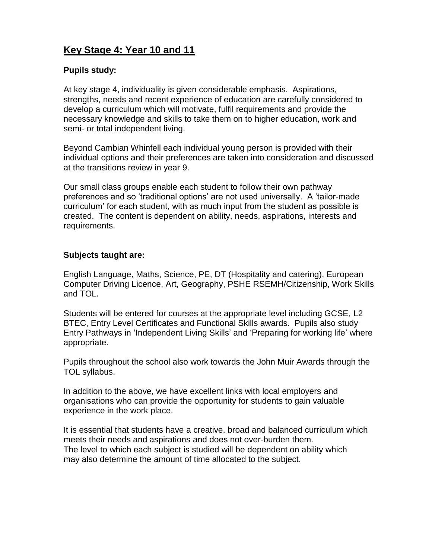## **Key Stage 4: Year 10 and 11**

#### **Pupils study:**

At key stage 4, individuality is given considerable emphasis. Aspirations, strengths, needs and recent experience of education are carefully considered to develop a curriculum which will motivate, fulfil requirements and provide the necessary knowledge and skills to take them on to higher education, work and semi- or total independent living.

Beyond Cambian Whinfell each individual young person is provided with their individual options and their preferences are taken into consideration and discussed at the transitions review in year 9.

Our small class groups enable each student to follow their own pathway preferences and so 'traditional options' are not used universally. A 'tailor-made curriculum' for each student, with as much input from the student as possible is created. The content is dependent on ability, needs, aspirations, interests and requirements.

#### **Subjects taught are:**

English Language, Maths, Science, PE, DT (Hospitality and catering), European Computer Driving Licence, Art, Geography, PSHE RSEMH/Citizenship, Work Skills and TOL.

Students will be entered for courses at the appropriate level including GCSE, L2 BTEC, Entry Level Certificates and Functional Skills awards. Pupils also study Entry Pathways in 'Independent Living Skills' and 'Preparing for working life' where appropriate.

Pupils throughout the school also work towards the John Muir Awards through the TOL syllabus.

In addition to the above, we have excellent links with local employers and organisations who can provide the opportunity for students to gain valuable experience in the work place.

It is essential that students have a creative, broad and balanced curriculum which meets their needs and aspirations and does not over-burden them. The level to which each subject is studied will be dependent on ability which may also determine the amount of time allocated to the subject.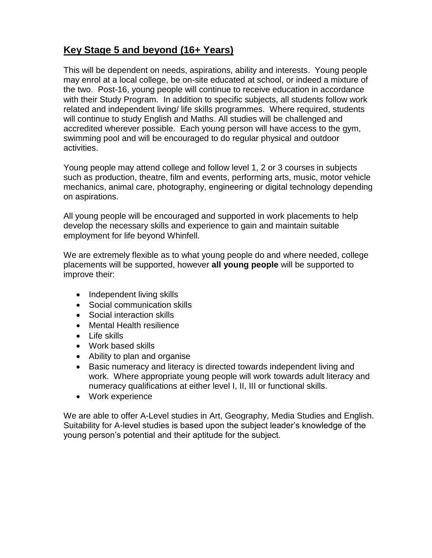# **Key Stage 5 and beyond (16+ Years)**

This will be dependent on needs, aspirations, ability and interests. Young people may enrol at a local college, be on-site educated at school, or indeed a mixture of the two. Post-16, young people will continue to receive education in accordance with their Study Program. In addition to specific subjects, all students follow work related and independent living/ life skills programmes. Where required, students will continue to study English and Maths. All studies will be challenged and accredited wherever possible. Each young person will have access to the gym, swimming pool and will be encouraged to do regular physical and outdoor activities.

Young people may attend college and follow level 1, 2 or 3 courses in subjects such as production, theatre, film and events, performing arts, music, motor vehicle mechanics, animal care, photography, engineering or digital technology depending on aspirations.

All young people will be encouraged and supported in work placements to help develop the necessary skills and experience to gain and maintain suitable employment for life beyond Whinfell.

We are extremely flexible as to what young people do and where needed, college placements will be supported, however **all young people** will be supported to improve their:

- Independent living skills
- Social communication skills
- Social interaction skills
- Mental Health resilience
- Life skills
- Work based skills
- Ability to plan and organise
- Basic numeracy and literacy is directed towards independent living and work. Where appropriate young people will work towards adult literacy and numeracy qualifications at either level I, II, III or functional skills.
- Work experience

We are able to offer A-Level studies in Art, Geography, Media Studies and English. Suitability for A-level studies is based upon the subject leader's knowledge of the young person's potential and their aptitude for the subject.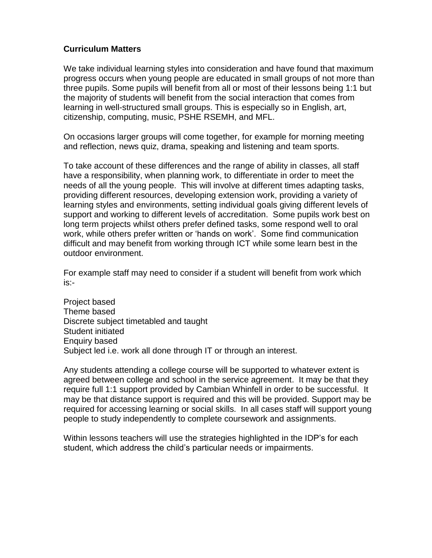#### **Curriculum Matters**

We take individual learning styles into consideration and have found that maximum progress occurs when young people are educated in small groups of not more than three pupils. Some pupils will benefit from all or most of their lessons being 1:1 but the majority of students will benefit from the social interaction that comes from learning in well-structured small groups. This is especially so in English, art, citizenship, computing, music, PSHE RSEMH, and MFL.

On occasions larger groups will come together, for example for morning meeting and reflection, news quiz, drama, speaking and listening and team sports.

To take account of these differences and the range of ability in classes, all staff have a responsibility, when planning work, to differentiate in order to meet the needs of all the young people. This will involve at different times adapting tasks, providing different resources, developing extension work, providing a variety of learning styles and environments, setting individual goals giving different levels of support and working to different levels of accreditation. Some pupils work best on long term projects whilst others prefer defined tasks, some respond well to oral work, while others prefer written or 'hands on work'. Some find communication difficult and may benefit from working through ICT while some learn best in the outdoor environment.

For example staff may need to consider if a student will benefit from work which is:-

Project based Theme based Discrete subject timetabled and taught Student initiated Enquiry based Subject led i.e. work all done through IT or through an interest.

Any students attending a college course will be supported to whatever extent is agreed between college and school in the service agreement. It may be that they require full 1:1 support provided by Cambian Whinfell in order to be successful. It may be that distance support is required and this will be provided. Support may be required for accessing learning or social skills. In all cases staff will support young people to study independently to complete coursework and assignments.

Within lessons teachers will use the strategies highlighted in the IDP's for each student, which address the child's particular needs or impairments.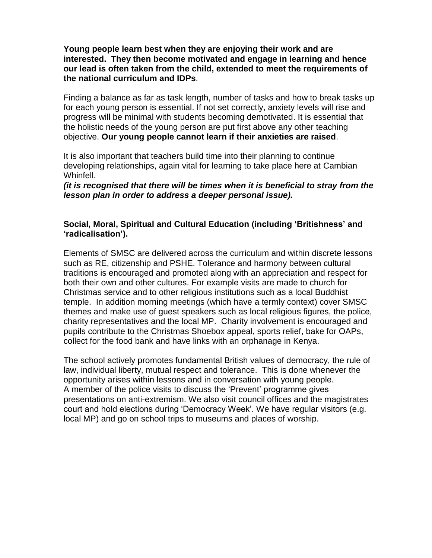#### **Young people learn best when they are enjoying their work and are interested. They then become motivated and engage in learning and hence our lead is often taken from the child, extended to meet the requirements of the national curriculum and IDPs**.

Finding a balance as far as task length, number of tasks and how to break tasks up for each young person is essential. If not set correctly, anxiety levels will rise and progress will be minimal with students becoming demotivated. It is essential that the holistic needs of the young person are put first above any other teaching objective. **Our young people cannot learn if their anxieties are raised**.

It is also important that teachers build time into their planning to continue developing relationships, again vital for learning to take place here at Cambian Whinfell.

*(it is recognised that there will be times when it is beneficial to stray from the lesson plan in order to address a deeper personal issue).*

#### **Social, Moral, Spiritual and Cultural Education (including 'Britishness' and 'radicalisation').**

Elements of SMSC are delivered across the curriculum and within discrete lessons such as RE, citizenship and PSHE. Tolerance and harmony between cultural traditions is encouraged and promoted along with an appreciation and respect for both their own and other cultures. For example visits are made to church for Christmas service and to other religious institutions such as a local Buddhist temple. In addition morning meetings (which have a termly context) cover SMSC themes and make use of guest speakers such as local religious figures, the police, charity representatives and the local MP. Charity involvement is encouraged and pupils contribute to the Christmas Shoebox appeal, sports relief, bake for OAPs, collect for the food bank and have links with an orphanage in Kenya.

The school actively promotes fundamental British values of democracy, the rule of law, individual liberty, mutual respect and tolerance. This is done whenever the opportunity arises within lessons and in conversation with young people. A member of the police visits to discuss the 'Prevent' programme gives presentations on anti-extremism. We also visit council offices and the magistrates court and hold elections during 'Democracy Week'. We have regular visitors (e.g. local MP) and go on school trips to museums and places of worship.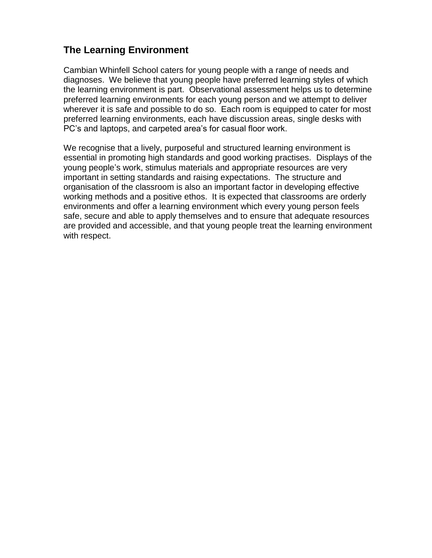## **The Learning Environment**

Cambian Whinfell School caters for young people with a range of needs and diagnoses. We believe that young people have preferred learning styles of which the learning environment is part. Observational assessment helps us to determine preferred learning environments for each young person and we attempt to deliver wherever it is safe and possible to do so. Each room is equipped to cater for most preferred learning environments, each have discussion areas, single desks with PC's and laptops, and carpeted area's for casual floor work.

We recognise that a lively, purposeful and structured learning environment is essential in promoting high standards and good working practises. Displays of the young people's work, stimulus materials and appropriate resources are very important in setting standards and raising expectations. The structure and organisation of the classroom is also an important factor in developing effective working methods and a positive ethos. It is expected that classrooms are orderly environments and offer a learning environment which every young person feels safe, secure and able to apply themselves and to ensure that adequate resources are provided and accessible, and that young people treat the learning environment with respect.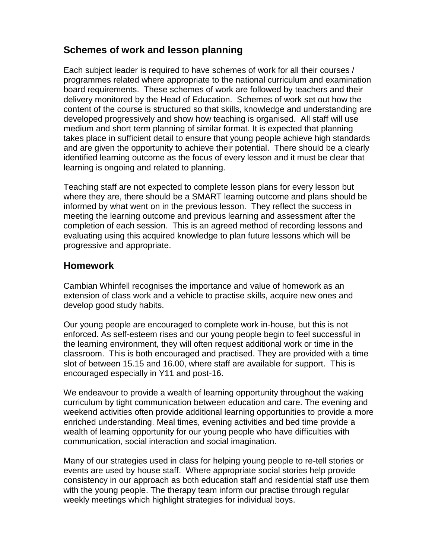## **Schemes of work and lesson planning**

Each subject leader is required to have schemes of work for all their courses / programmes related where appropriate to the national curriculum and examination board requirements. These schemes of work are followed by teachers and their delivery monitored by the Head of Education. Schemes of work set out how the content of the course is structured so that skills, knowledge and understanding are developed progressively and show how teaching is organised. All staff will use medium and short term planning of similar format. It is expected that planning takes place in sufficient detail to ensure that young people achieve high standards and are given the opportunity to achieve their potential. There should be a clearly identified learning outcome as the focus of every lesson and it must be clear that learning is ongoing and related to planning.

Teaching staff are not expected to complete lesson plans for every lesson but where they are, there should be a SMART learning outcome and plans should be informed by what went on in the previous lesson. They reflect the success in meeting the learning outcome and previous learning and assessment after the completion of each session. This is an agreed method of recording lessons and evaluating using this acquired knowledge to plan future lessons which will be progressive and appropriate.

## **Homework**

Cambian Whinfell recognises the importance and value of homework as an extension of class work and a vehicle to practise skills, acquire new ones and develop good study habits.

Our young people are encouraged to complete work in-house, but this is not enforced. As self-esteem rises and our young people begin to feel successful in the learning environment, they will often request additional work or time in the classroom. This is both encouraged and practised. They are provided with a time slot of between 15.15 and 16.00, where staff are available for support. This is encouraged especially in Y11 and post-16.

We endeavour to provide a wealth of learning opportunity throughout the waking curriculum by tight communication between education and care. The evening and weekend activities often provide additional learning opportunities to provide a more enriched understanding. Meal times, evening activities and bed time provide a wealth of learning opportunity for our young people who have difficulties with communication, social interaction and social imagination.

Many of our strategies used in class for helping young people to re-tell stories or events are used by house staff. Where appropriate social stories help provide consistency in our approach as both education staff and residential staff use them with the young people. The therapy team inform our practise through regular weekly meetings which highlight strategies for individual boys.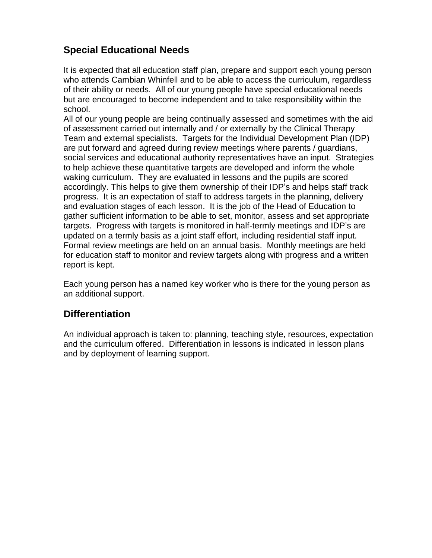# **Special Educational Needs**

It is expected that all education staff plan, prepare and support each young person who attends Cambian Whinfell and to be able to access the curriculum, regardless of their ability or needs. All of our young people have special educational needs but are encouraged to become independent and to take responsibility within the school.

All of our young people are being continually assessed and sometimes with the aid of assessment carried out internally and / or externally by the Clinical Therapy Team and external specialists. Targets for the Individual Development Plan (IDP) are put forward and agreed during review meetings where parents / guardians, social services and educational authority representatives have an input. Strategies to help achieve these quantitative targets are developed and inform the whole waking curriculum. They are evaluated in lessons and the pupils are scored accordingly. This helps to give them ownership of their IDP's and helps staff track progress. It is an expectation of staff to address targets in the planning, delivery and evaluation stages of each lesson. It is the job of the Head of Education to gather sufficient information to be able to set, monitor, assess and set appropriate targets. Progress with targets is monitored in half-termly meetings and IDP's are updated on a termly basis as a joint staff effort, including residential staff input. Formal review meetings are held on an annual basis. Monthly meetings are held for education staff to monitor and review targets along with progress and a written report is kept.

Each young person has a named key worker who is there for the young person as an additional support.

## **Differentiation**

An individual approach is taken to: planning, teaching style, resources, expectation and the curriculum offered. Differentiation in lessons is indicated in lesson plans and by deployment of learning support.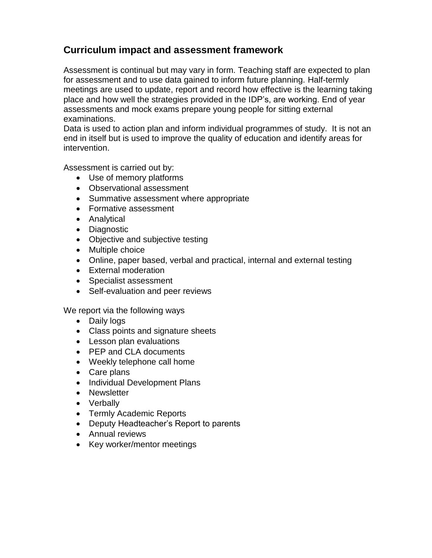## **Curriculum impact and assessment framework**

Assessment is continual but may vary in form. Teaching staff are expected to plan for assessment and to use data gained to inform future planning. Half-termly meetings are used to update, report and record how effective is the learning taking place and how well the strategies provided in the IDP's, are working. End of year assessments and mock exams prepare young people for sitting external examinations.

Data is used to action plan and inform individual programmes of study. It is not an end in itself but is used to improve the quality of education and identify areas for intervention.

Assessment is carried out by:

- Use of memory platforms
- Observational assessment
- Summative assessment where appropriate
- Formative assessment
- Analytical
- Diagnostic
- Objective and subjective testing
- Multiple choice
- Online, paper based, verbal and practical, internal and external testing
- External moderation
- Specialist assessment
- Self-evaluation and peer reviews

We report via the following ways

- Daily logs
- Class points and signature sheets
- Lesson plan evaluations
- PEP and CLA documents
- Weekly telephone call home
- Care plans
- Individual Development Plans
- Newsletter
- Verbally
- Termly Academic Reports
- Deputy Headteacher's Report to parents
- Annual reviews
- Key worker/mentor meetings